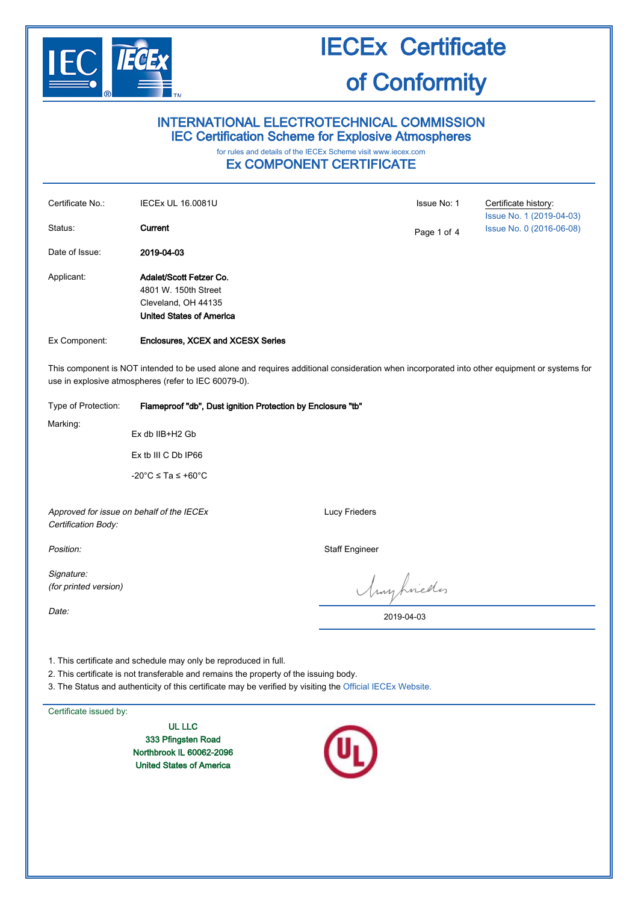

# IECEx Certificate

# of Conformity

### INTERNATIONAL ELECTROTECHNICAL COMMISSION IEC Certification Scheme for Explosive Atmospheres

## for rules and details of the IECEx Scheme visit [www.iecex.com](http://www.iecex.com/)

### Ex COMPONENT CERTIFICATE

| Certificate No.:<br>Status:                                                                                                                                                                         | <b>IECEx UL 16.0081U</b><br>Current                                                                       | Issue No: 1 | Certificate history:<br>Issue No. 1 (2019-04-03)<br>Issue No. 0 (2016-06-08) |  |
|-----------------------------------------------------------------------------------------------------------------------------------------------------------------------------------------------------|-----------------------------------------------------------------------------------------------------------|-------------|------------------------------------------------------------------------------|--|
| Date of Issue:                                                                                                                                                                                      | 2019-04-03                                                                                                | Page 1 of 4 |                                                                              |  |
| Applicant:                                                                                                                                                                                          | Adalet/Scott Fetzer Co.<br>4801 W. 150th Street<br>Cleveland, OH 44135<br><b>United States of America</b> |             |                                                                              |  |
| Ex Component:                                                                                                                                                                                       | <b>Enclosures, XCEX and XCESX Series</b>                                                                  |             |                                                                              |  |
| This component is NOT intended to be used alone and requires additional consideration when incorporated into other equipment or systems for<br>use in explosive atmospheres (refer to IEC 60079-0). |                                                                                                           |             |                                                                              |  |
| Type of Protection:                                                                                                                                                                                 | Flameproof "db", Dust ignition Protection by Enclosure "tb"                                               |             |                                                                              |  |
| Marking:<br>Ex db IIB+H2 Gb                                                                                                                                                                         |                                                                                                           |             |                                                                              |  |
| Ex tb III C Db IP66                                                                                                                                                                                 |                                                                                                           |             |                                                                              |  |

-20°C ≤ Ta ≤ +60°C

Approved for issue on behalf of the IECEx Certification Body:

Signature: (for printed version) Lucy Frieders

Position: Staff Engineer

Anyhnedes

2019-04-03

Date:

1. This certificate and schedule may only be reproduced in full.

2. This certificate is not transferable and remains the property of the issuing body.

3. The Status and authenticity of this certificate may be verified by visiting the [Official IECEx Website.](http://iecex.iec.ch/)

Certificate issued by:

UL LLC 333 Pfingsten Road Northbrook IL 60062-2096 United States of America

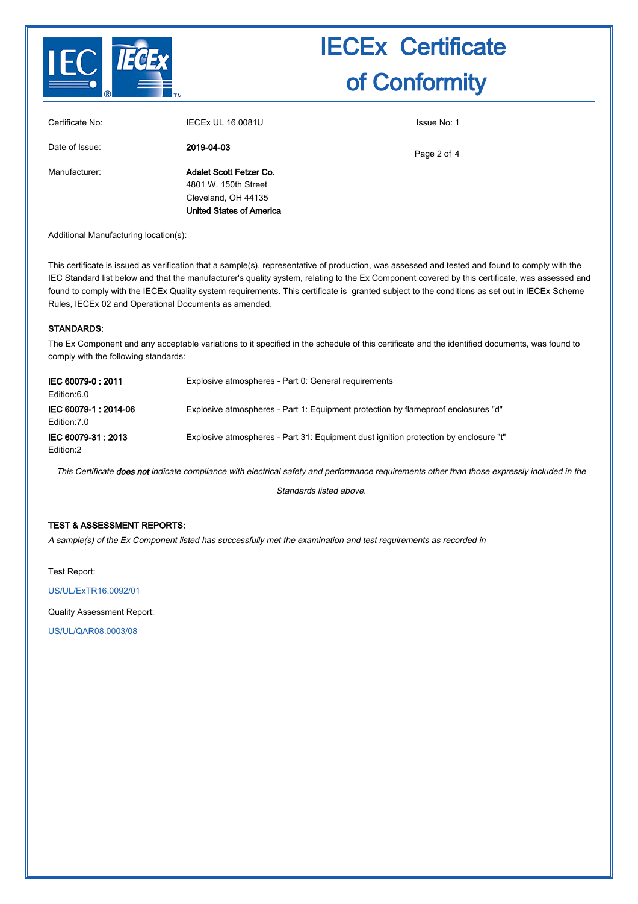

| Manufacturer: | Adalet Scott Fetzer Co.<br>4801 W. 150th Street        | Page 2 of 4 |
|---------------|--------------------------------------------------------|-------------|
|               | Cleveland, OH 44135<br><b>United States of America</b> |             |

Additional Manufacturing location(s):

This certificate is issued as verification that a sample(s), representative of production, was assessed and tested and found to comply with the IEC Standard list below and that the manufacturer's quality system, relating to the Ex Component covered by this certificate, was assessed and found to comply with the IECEx Quality system requirements. This certificate is granted subject to the conditions as set out in IECEx Scheme Rules, IECEx 02 and Operational Documents as amended.

#### STANDARDS:

The Ex Component and any acceptable variations to it specified in the schedule of this certificate and the identified documents, was found to comply with the following standards:

| IEC 60079-0:2011<br>Edition:6.0     | Explosive atmospheres - Part 0: General requirements                                 |
|-------------------------------------|--------------------------------------------------------------------------------------|
| IEC 60079-1:2014-06<br>Edition: 7.0 | Explosive atmospheres - Part 1: Equipment protection by flameproof enclosures "d"    |
| IEC 60079-31: 2013<br>Edition:2     | Explosive atmospheres - Part 31: Equipment dust ignition protection by enclosure "t" |

This Certificate does not indicate compliance with electrical safety and performance requirements other than those expressly included in the

Standards listed above.

### TEST & ASSESSMENT REPORTS:

A sample(s) of the Ex Component listed has successfully met the examination and test requirements as recorded in

Test Report:

[US/UL/ExTR16.0092/01](http://iecex.iec.ch/extr/US.UL.ExTR16.0092.01)

Quality Assessment Report:

[US/UL/QAR08.0003/08](http://iecex.iec.ch/qar/US.UL.QAR08.0003.08)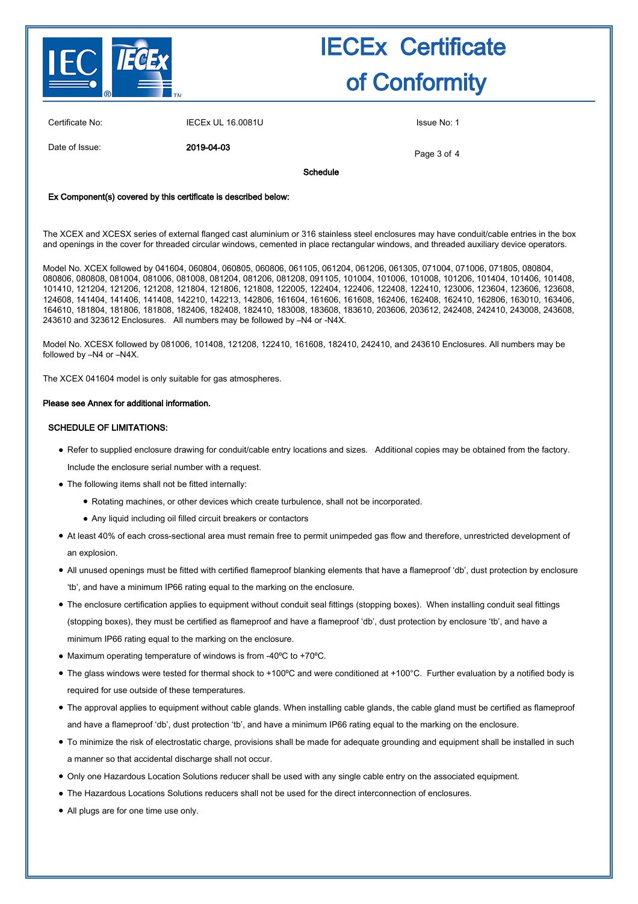

Certificate No: **IECEX UL 16.0081U** ISSUE No: 1

Date of Issue: 2019-04-03

Page 3 of 4

Schedule

#### Ex Component(s) covered by this certificate is described below:

The XCEX and XCESX series of external flanged cast aluminium or 316 stainless steel enclosures may have conduit/cable entries in the box and openings in the cover for threaded circular windows, cemented in place rectangular windows, and threaded auxiliary device operators.

Model No. XCEX followed by 041604, 060804, 060805, 060806, 061105, 061204, 061206, 061305, 071004, 071006, 071805, 080804, 080806, 080808, 081004, 081006, 081008, 081204, 081206, 081208, 091105, 101004, 101006, 101008, 101206, 101404, 101406, 101408, 101410, 121204, 121206, 121208, 121804, 121806, 121808, 122005, 122404, 122406, 122408, 122410, 123006, 123604, 123606, 123608, 124608, 141404, 141406, 141408, 142210, 142213, 142806, 161604, 161606, 161608, 162406, 162408, 162410, 162806, 163010, 163406, 164610, 181804, 181806, 181808, 182406, 182408, 182410, 183008, 183608, 183610, 203606, 203612, 242408, 242410, 243008, 243608, 243610 and 323612 Enclosures. All numbers may be followed by –N4 or -N4X.

Model No. XCESX followed by 081006, 101408, 121208, 122410, 161608, 182410, 242410, and 243610 Enclosures. All numbers may be followed by –N4 or –N4X.

The XCEX 041604 model is only suitable for gas atmospheres.

#### Please see Annex for additional information.

#### SCHEDULE OF LIMITATIONS:

- Refer to supplied enclosure drawing for conduit/cable entry locations and sizes. Additional copies may be obtained from the factory. Include the enclosure serial number with a request.
- The following items shall not be fitted internally:
	- Rotating machines, or other devices which create turbulence, shall not be incorporated.
	- Any liquid including oil filled circuit breakers or contactors
- At least 40% of each cross-sectional area must remain free to permit unimpeded gas flow and therefore, unrestricted development of an explosion.
- All unused openings must be fitted with certified flameproof blanking elements that have a flameproof 'db', dust protection by enclosure 'tb', and have a minimum IP66 rating equal to the marking on the enclosure.
- The enclosure certification applies to equipment without conduit seal fittings (stopping boxes). When installing conduit seal fittings (stopping boxes), they must be certified as flameproof and have a flameproof 'db', dust protection by enclosure 'tb', and have a minimum IP66 rating equal to the marking on the enclosure.
- Maximum operating temperature of windows is from -40ºC to +70ºC.
- $\bullet$  The glass windows were tested for thermal shock to +100°C and were conditioned at +100°C. Further evaluation by a notified body is required for use outside of these temperatures.
- The approval applies to equipment without cable glands. When installing cable glands, the cable gland must be certified as flameproof and have a flameproof 'db', dust protection 'tb', and have a minimum IP66 rating equal to the marking on the enclosure.
- To minimize the risk of electrostatic charge, provisions shall be made for adequate grounding and equipment shall be installed in such a manner so that accidental discharge shall not occur.
- Only one Hazardous Location Solutions reducer shall be used with any single cable entry on the associated equipment.
- The Hazardous Locations Solutions reducers shall not be used for the direct interconnection of enclosures.
- All plugs are for one time use only.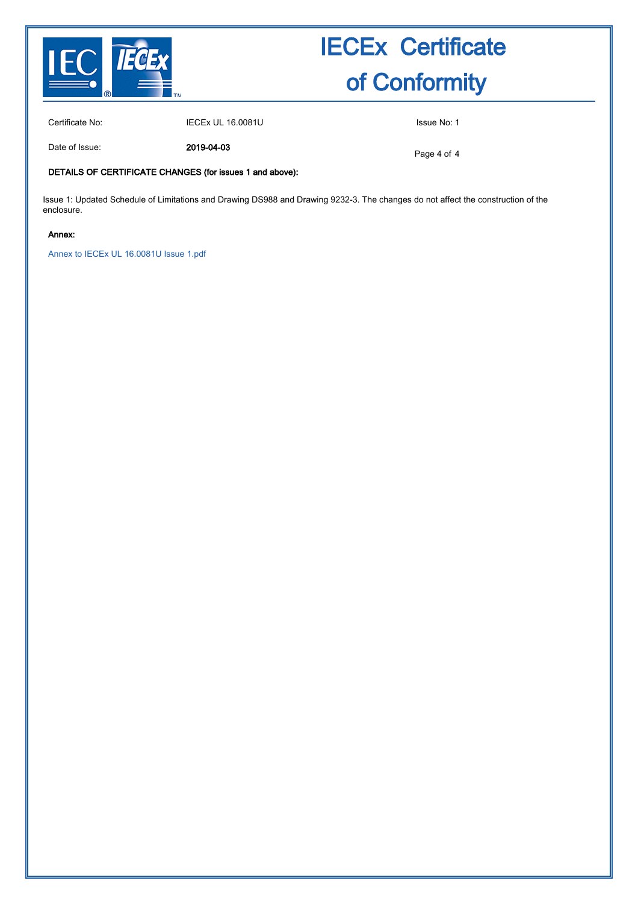

Certificate No: IECEx UL 16.0081U ISSue No: 1

Date of Issue: 2019-04-03

Page 4 of 4

### DETAILS OF CERTIFICATE CHANGES (for issues 1 and above):

Issue 1: Updated Schedule of Limitations and Drawing DS988 and Drawing 9232-3. The changes do not affect the construction of the enclosure.

#### Annex:

[Annex to IECEx UL 16.0081U Issue 1.pdf](http://iecex.iec.ch/cert/IECExUL16.00811/$File/Annex to IECEx UL 16.0081U Issue 1.pdf)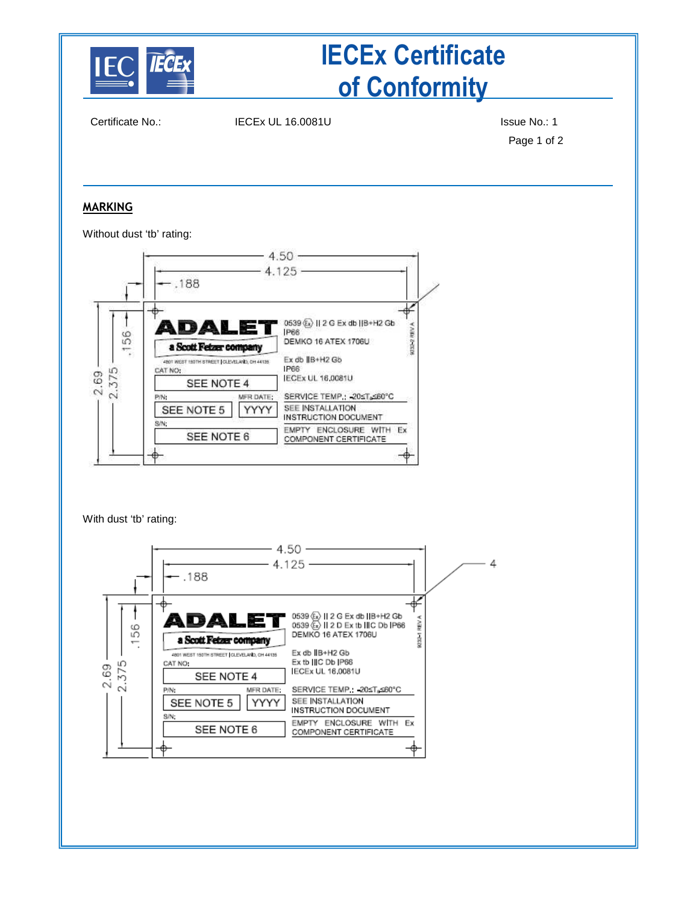

Certificate No.: IECEx UL 16.0081U ISSue No.: 1

Page 1 of 2

### **MARKING**

Without dust 'tb' rating:



With dust 'tb' rating: